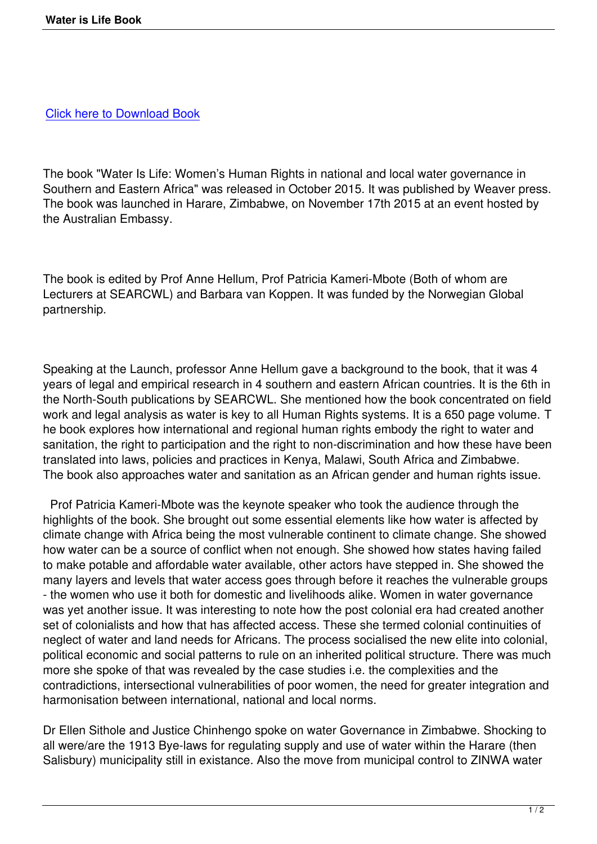[The book "Water Is Life: Wom](downloads/water-is-life.pdf)en's Human Rights in national and local water governance in Southern and Eastern Africa" was released in October 2015. It was published by Weaver press. The book was launched in Harare, Zimbabwe, on November 17th 2015 at an event hosted by the Australian Embassy.

The book is edited by Prof Anne Hellum, Prof Patricia Kameri-Mbote (Both of whom are Lecturers at SEARCWL) and Barbara van Koppen. It was funded by the Norwegian Global partnership.

Speaking at the Launch, professor Anne Hellum gave a background to the book, that it was 4 years of legal and empirical research in 4 southern and eastern African countries. It is the 6th in the North-South publications by SEARCWL. She mentioned how the book concentrated on field work and legal analysis as water is key to all Human Rights systems. It is a 650 page volume. T he book explores how international and regional human rights embody the right to water and sanitation, the right to participation and the right to non-discrimination and how these have been translated into laws, policies and practices in Kenya, Malawi, South Africa and Zimbabwe. The book also approaches water and sanitation as an African gender and human rights issue.

 Prof Patricia Kameri-Mbote was the keynote speaker who took the audience through the highlights of the book. She brought out some essential elements like how water is affected by climate change with Africa being the most vulnerable continent to climate change. She showed how water can be a source of conflict when not enough. She showed how states having failed to make potable and affordable water available, other actors have stepped in. She showed the many layers and levels that water access goes through before it reaches the vulnerable groups - the women who use it both for domestic and livelihoods alike. Women in water governance was yet another issue. It was interesting to note how the post colonial era had created another set of colonialists and how that has affected access. These she termed colonial continuities of neglect of water and land needs for Africans. The process socialised the new elite into colonial, political economic and social patterns to rule on an inherited political structure. There was much more she spoke of that was revealed by the case studies i.e. the complexities and the contradictions, intersectional vulnerabilities of poor women, the need for greater integration and harmonisation between international, national and local norms.

Dr Ellen Sithole and Justice Chinhengo spoke on water Governance in Zimbabwe. Shocking to all were/are the 1913 Bye-laws for regulating supply and use of water within the Harare (then Salisbury) municipality still in existance. Also the move from municipal control to ZINWA water